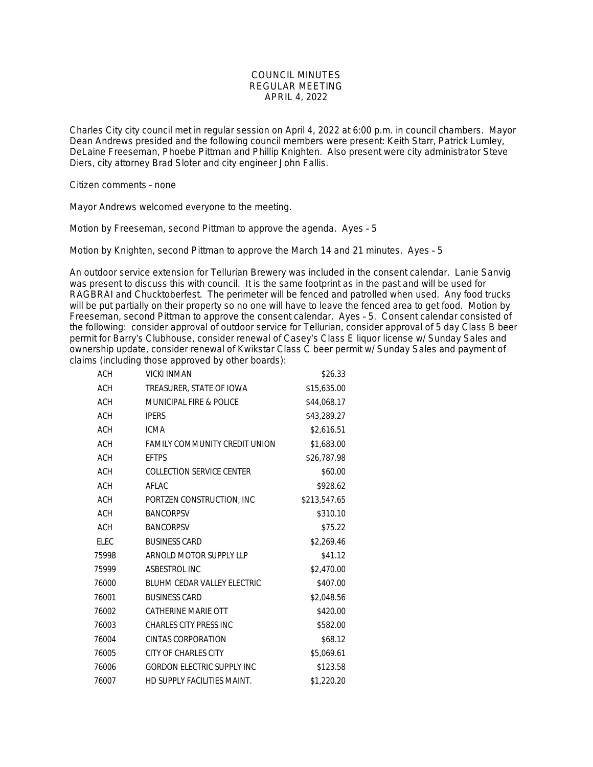## COUNCIL MINUTES REGULAR MEETING APRIL 4, 2022

Charles City city council met in regular session on April 4, 2022 at 6:00 p.m. in council chambers. Mayor Dean Andrews presided and the following council members were present: Keith Starr, Patrick Lumley, DeLaine Freeseman, Phoebe Pittman and Phillip Knighten. Also present were city administrator Steve Diers, city attorney Brad Sloter and city engineer John Fallis.

Citizen comments – none

Mayor Andrews welcomed everyone to the meeting.

Motion by Freeseman, second Pittman to approve the agenda. Ayes – 5

Motion by Knighten, second Pittman to approve the March 14 and 21 minutes. Ayes – 5

An outdoor service extension for Tellurian Brewery was included in the consent calendar. Lanie Sanvig was present to discuss this with council. It is the same footprint as in the past and will be used for RAGBRAI and Chucktoberfest. The perimeter will be fenced and patrolled when used. Any food trucks will be put partially on their property so no one will have to leave the fenced area to get food. Motion by Freeseman, second Pittman to approve the consent calendar. Ayes – 5. Consent calendar consisted of the following: consider approval of outdoor service for Tellurian, consider approval of 5 day Class B beer permit for Barry's Clubhouse, consider renewal of Casey's Class E liquor license w/ Sunday Sales and ownership update, consider renewal of Kwikstar Class C beer permit w/ Sunday Sales and payment of claims (including those approved by other boards):

| <b>ACH</b>  | <b>VICKI INMAN</b>                 | \$26.33      |
|-------------|------------------------------------|--------------|
| <b>ACH</b>  | TREASURER, STATE OF IOWA           | \$15,635.00  |
| <b>ACH</b>  | <b>MUNICIPAL FIRE &amp; POLICE</b> | \$44,068.17  |
| <b>ACH</b>  | <b>IPERS</b>                       | \$43,289.27  |
| <b>ACH</b>  | <b>ICMA</b>                        | \$2,616.51   |
| <b>ACH</b>  | FAMILY COMMUNITY CREDIT UNION      | \$1,683.00   |
| <b>ACH</b>  | <b>EFTPS</b>                       | \$26,787.98  |
| <b>ACH</b>  | COLLECTION SERVICE CENTER          | \$60.00      |
| <b>ACH</b>  | AFLAC                              | \$928.62     |
| <b>ACH</b>  | PORTZEN CONSTRUCTION, INC          | \$213,547.65 |
| <b>ACH</b>  | <b>BANCORPSV</b>                   | \$310.10     |
| <b>ACH</b>  | <b>BANCORPSV</b>                   | \$75.22      |
| <b>ELEC</b> | <b>BUSINESS CARD</b>               | \$2,269.46   |
| 75998       | ARNOLD MOTOR SUPPLY LLP            | \$41.12      |
| 75999       | ASBESTROL INC                      | \$2,470.00   |
| 76000       | BLUHM CEDAR VALLEY ELECTRIC        | \$407.00     |
| 76001       | <b>BUSINESS CARD</b>               | \$2,048.56   |
| 76002       | CATHERINE MARIE OTT                | \$420.00     |
| 76003       | <b>CHARLES CITY PRESS INC</b>      | \$582.00     |
| 76004       | CINTAS CORPORATION                 | \$68.12      |
| 76005       | <b>CITY OF CHARLES CITY</b>        | \$5,069.61   |
| 76006       | <b>GORDON ELECTRIC SUPPLY INC</b>  | \$123.58     |
| 76007       | HD SUPPLY FACILITIES MAINT.        | \$1,220.20   |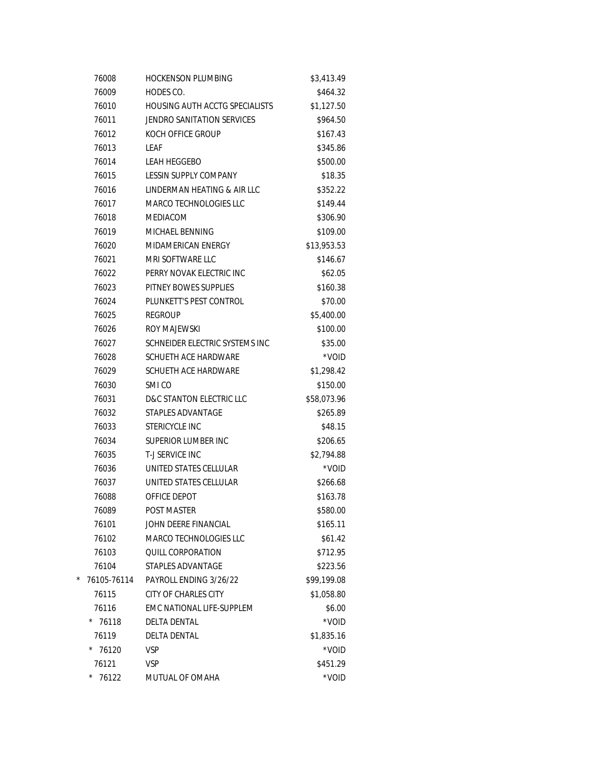| 76008               | <b>HOCKENSON PLUMBING</b>      | \$3,413.49  |
|---------------------|--------------------------------|-------------|
| 76009               | HODES CO.                      | \$464.32    |
| 76010               | HOUSING AUTH ACCTG SPECIALISTS | \$1,127.50  |
| 76011               | JENDRO SANITATION SERVICES     | \$964.50    |
| 76012               | KOCH OFFICE GROUP              | \$167.43    |
| 76013               | LEAF                           | \$345.86    |
| 76014               | LEAH HEGGEBO                   | \$500.00    |
| 76015               | <b>LESSIN SUPPLY COMPANY</b>   | \$18.35     |
| 76016               | LINDERMAN HEATING & AIR LLC    | \$352.22    |
| 76017               | MARCO TECHNOLOGIES LLC         | \$149.44    |
| 76018               | <b>MEDIACOM</b>                | \$306.90    |
| 76019               | MICHAEL BENNING                | \$109.00    |
| 76020               | MIDAMERICAN ENERGY             | \$13,953.53 |
| 76021               | MRI SOFTWARE LLC               | \$146.67    |
| 76022               | PERRY NOVAK ELECTRIC INC       | \$62.05     |
| 76023               | PITNEY BOWES SUPPLIES          | \$160.38    |
| 76024               | PLUNKETT'S PEST CONTROL        | \$70.00     |
| 76025               | <b>REGROUP</b>                 | \$5,400.00  |
| 76026               | ROY MAJEWSKI                   | \$100.00    |
| 76027               | SCHNEIDER ELECTRIC SYSTEMS INC | \$35.00     |
| 76028               | SCHUETH ACE HARDWARE           | *VOID       |
| 76029               | SCHUETH ACE HARDWARE           | \$1,298.42  |
| 76030               | SMI <sub>CO</sub>              | \$150.00    |
| 76031               | D&C STANTON ELECTRIC LLC       | \$58,073.96 |
| 76032               | STAPLES ADVANTAGE              | \$265.89    |
| 76033               | STERICYCLE INC                 | \$48.15     |
| 76034               | SUPERIOR LUMBER INC            | \$206.65    |
| 76035               | T-J SERVICE INC                | \$2,794.88  |
| 76036               | UNITED STATES CELLULAR         | *VOID       |
| 76037               | UNITED STATES CELLULAR         | \$266.68    |
| 76088               | OFFICE DEPOT                   | \$163.78    |
| 76089               | <b>POST MASTER</b>             | \$580.00    |
| 76101               | JOHN DEERE FINANCIAL           | \$165.11    |
| 76102               | MARCO TECHNOLOGIES LLC         | \$61.42     |
| 76103               | <b>OUILL CORPORATION</b>       | \$712.95    |
| 76104               | STAPLES ADVANTAGE              | \$223.56    |
| 76105-76114         | PAYROLL ENDING 3/26/22         | \$99,199.08 |
| 76115               | CITY OF CHARLES CITY           | \$1,058.80  |
| 76116               | EMC NATIONAL LIFE-SUPPLEM      | \$6.00      |
| 76118               | <b>DELTA DENTAL</b>            | *VOID       |
| 76119               | <b>DELTA DENTAL</b>            | \$1,835.16  |
| 76120               | <b>VSP</b>                     | *VOID       |
| 76121               | <b>VSP</b>                     | \$451.29    |
| $^{\star}$<br>76122 | MUTUAL OF OMAHA                | *VOID       |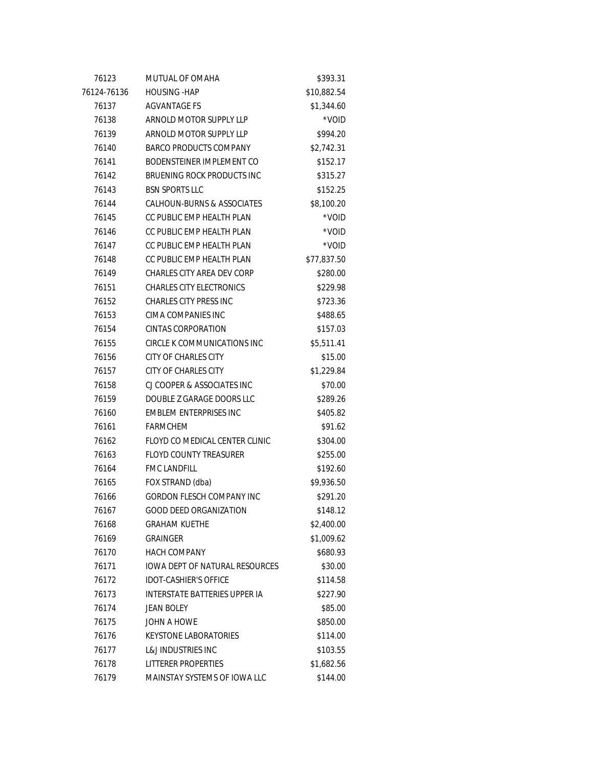| 76123       | MUTUAL OF OMAHA                       | \$393.31    |
|-------------|---------------------------------------|-------------|
| 76124-76136 | <b>HOUSING -HAP</b>                   | \$10,882.54 |
| 76137       | AGVANTAGE FS                          | \$1,344.60  |
| 76138       | ARNOLD MOTOR SUPPLY LLP               | *VOID       |
| 76139       | ARNOLD MOTOR SUPPLY LLP               | \$994.20    |
| 76140       | BARCO PRODUCTS COMPANY                | \$2,742.31  |
| 76141       | BODENSTEINER IMPLEMENT CO             | \$152.17    |
| 76142       | BRUENING ROCK PRODUCTS INC            | \$315.27    |
| 76143       | <b>BSN SPORTS LLC</b>                 | \$152.25    |
| 76144       | CALHOUN-BURNS & ASSOCIATES            | \$8,100.20  |
| 76145       | CC PUBLIC EMP HEALTH PLAN             | *VOID       |
| 76146       | CC PUBLIC EMP HEALTH PLAN             | *VOID       |
| 76147       | CC PUBLIC EMP HEALTH PLAN             | *VOID       |
| 76148       | CC PUBLIC EMP HEALTH PLAN             | \$77,837.50 |
| 76149       | CHARLES CITY AREA DEV CORP            | \$280.00    |
| 76151       | <b>CHARLES CITY ELECTRONICS</b>       | \$229.98    |
| 76152       | <b>CHARLES CITY PRESS INC</b>         | \$723.36    |
| 76153       | CIMA COMPANIES INC                    | \$488.65    |
| 76154       | <b>CINTAS CORPORATION</b>             | \$157.03    |
| 76155       | <b>CIRCLE K COMMUNICATIONS INC</b>    | \$5,511.41  |
| 76156       | CITY OF CHARLES CITY                  | \$15.00     |
| 76157       | CITY OF CHARLES CITY                  | \$1,229.84  |
| 76158       | CJ COOPER & ASSOCIATES INC            | \$70.00     |
| 76159       | DOUBLE Z GARAGE DOORS LLC             | \$289.26    |
| 76160       | <b>EMBLEM ENTERPRISES INC</b>         | \$405.82    |
| 76161       | <b>FARMCHEM</b>                       | \$91.62     |
| 76162       | FLOYD CO MEDICAL CENTER CLINIC        | \$304.00    |
| 76163       | FLOYD COUNTY TREASURER                | \$255.00    |
| 76164       | <b>FMC LANDFILL</b>                   | \$192.60    |
| 76165       | FOX STRAND (dba)                      | \$9,936.50  |
| 76166       | GORDON FLESCH COMPANY INC             | \$291.20    |
| 76167       | GOOD DEED ORGANIZATION                | \$148.12    |
| 76168       | <b>GRAHAM KUETHE</b>                  | \$2,400.00  |
| 76169       | <b>GRAINGER</b>                       | \$1,009.62  |
| 76170       | <b>HACH COMPANY</b>                   | \$680.93    |
| 76171       | <b>IOWA DEPT OF NATURAL RESOURCES</b> | \$30.00     |
| 76172       | <b>IDOT-CASHIER'S OFFICE</b>          | \$114.58    |
| 76173       | <b>INTERSTATE BATTERIES UPPER IA</b>  | \$227.90    |
| 76174       | <b>JEAN BOLEY</b>                     | \$85.00     |
| 76175       | JOHN A HOWE                           | \$850.00    |
| 76176       | <b>KEYSTONE LABORATORIES</b>          | \$114.00    |
| 76177       | L&J INDUSTRIES INC                    | \$103.55    |
| 76178       | <b>LITTERER PROPERTIES</b>            | \$1,682.56  |
| 76179       | MAINSTAY SYSTEMS OF IOWA LLC          | \$144.00    |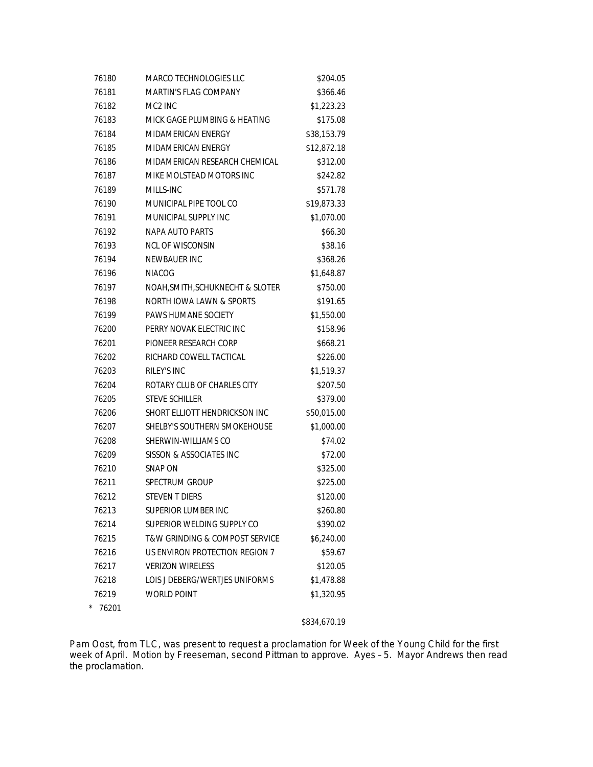| 76180            | <b>MARCO TECHNOLOGIES LLC</b>    | \$204.05    |
|------------------|----------------------------------|-------------|
| 76181            | MARTIN'S FLAG COMPANY            | \$366.46    |
| 76182            | MC <sub>2</sub> INC              | \$1,223.23  |
| 76183            | MICK GAGE PLUMBING & HEATING     | \$175.08    |
| 76184            | MIDAMERICAN ENERGY               | \$38,153.79 |
| 76185            | MIDAMERICAN ENERGY               | \$12,872.18 |
| 76186            | MIDAMERICAN RESEARCH CHEMICAL    | \$312.00    |
| 76187            | MIKE MOLSTEAD MOTORS INC         | \$242.82    |
| 76189            | MILLS-INC                        | \$571.78    |
| 76190            | MUNICIPAL PIPE TOOL CO           | \$19,873.33 |
| 76191            | MUNICIPAL SUPPLY INC             | \$1,070.00  |
| 76192            | NAPA AUTO PARTS                  | \$66.30     |
| 76193            | <b>NCL OF WISCONSIN</b>          | \$38.16     |
| 76194            | NEWBAUER INC                     | \$368.26    |
| 76196            | <b>NIACOG</b>                    | \$1,648.87  |
| 76197            | NOAH, SMITH, SCHUKNECHT & SLOTER | \$750.00    |
| 76198            | NORTH IOWA LAWN & SPORTS         | \$191.65    |
| 76199            | PAWS HUMANE SOCIETY              | \$1,550.00  |
| 76200            | PERRY NOVAK ELECTRIC INC         | \$158.96    |
| 76201            | PIONEER RESEARCH CORP            | \$668.21    |
| 76202            | RICHARD COWELL TACTICAL          | \$226.00    |
| 76203            | RILEY'S INC                      | \$1,519.37  |
| 76204            | ROTARY CLUB OF CHARLES CITY      | \$207.50    |
| 76205            | <b>STEVE SCHILLER</b>            | \$379.00    |
| 76206            | SHORT ELLIOTT HENDRICKSON INC    | \$50,015.00 |
| 76207            | SHELBY'S SOUTHERN SMOKEHOUSE     | \$1,000.00  |
| 76208            | SHERWIN-WILLIAMS CO              | \$74.02     |
| 76209            | SISSON & ASSOCIATES INC          | \$72.00     |
| 76210            | SNAP ON                          | \$325.00    |
| 76211            | SPECTRUM GROUP                   | \$225.00    |
| 76212            | <b>STEVEN T DIERS</b>            | \$120.00    |
| 76213            | SUPERIOR LUMBER INC              | \$260.80    |
| 76214            | SUPERIOR WELDING SUPPLY CO       | \$390.02    |
| 76215            | T&W GRINDING & COMPOST SERVICE   | \$6,240.00  |
| 76216            | US ENVIRON PROTECTION REGION 7   | \$59.67     |
| 76217            | <b>VERIZON WIRELESS</b>          | \$120.05    |
| 76218            | LOIS J DEBERG/WERTJES UNIFORMS   | \$1,478.88  |
| 76219            | <b>WORLD POINT</b>               | \$1,320.95  |
| $\star$<br>76201 |                                  |             |

\$834,670.19

Pam Oost, from TLC, was present to request a proclamation for Week of the Young Child for the first week of April. Motion by Freeseman, second Pittman to approve. Ayes – 5. Mayor Andrews then read the proclamation.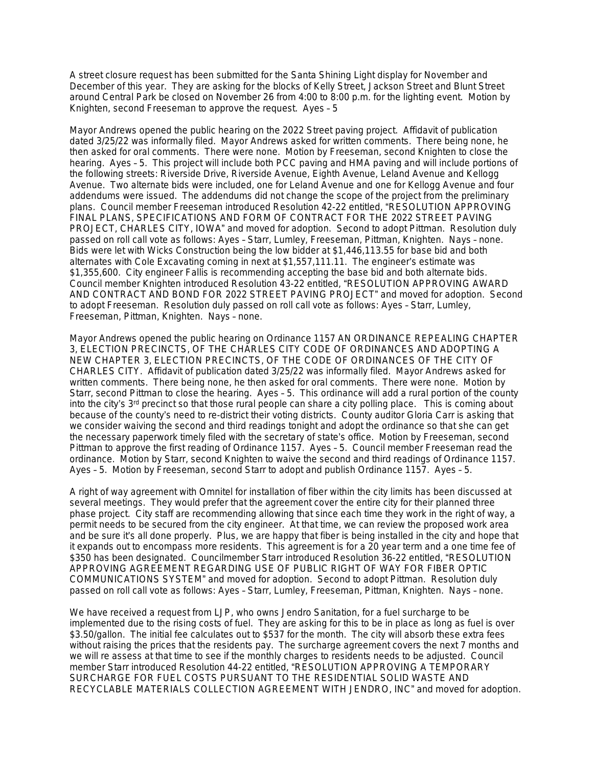A street closure request has been submitted for the Santa Shining Light display for November and December of this year. They are asking for the blocks of Kelly Street, Jackson Street and Blunt Street around Central Park be closed on November 26 from 4:00 to 8:00 p.m. for the lighting event. Motion by Knighten, second Freeseman to approve the request. Ayes – 5

Mayor Andrews opened the public hearing on the 2022 Street paving project. Affidavit of publication dated 3/25/22 was informally filed. Mayor Andrews asked for written comments. There being none, he then asked for oral comments. There were none. Motion by Freeseman, second Knighten to close the hearing. Ayes – 5. This project will include both PCC paving and HMA paving and will include portions of the following streets: Riverside Drive, Riverside Avenue, Eighth Avenue, Leland Avenue and Kellogg Avenue. Two alternate bids were included, one for Leland Avenue and one for Kellogg Avenue and four addendums were issued. The addendums did not change the scope of the project from the preliminary plans. Council member Freeseman introduced Resolution 42-22 entitled, "RESOLUTION APPROVING FINAL PLANS, SPECIFICATIONS AND FORM OF CONTRACT FOR THE 2022 STREET PAVING PROJECT, CHARLES CITY, IOWA" and moved for adoption. Second to adopt Pittman. Resolution duly passed on roll call vote as follows: Ayes – Starr, Lumley, Freeseman, Pittman, Knighten. Nays – none. Bids were let with Wicks Construction being the low bidder at \$1,446,113.55 for base bid and both alternates with Cole Excavating coming in next at \$1,557,111.11. The engineer's estimate was \$1,355,600. City engineer Fallis is recommending accepting the base bid and both alternate bids. Council member Knighten introduced Resolution 43-22 entitled, "RESOLUTION APPROVING AWARD AND CONTRACT AND BOND FOR 2022 STREET PAVING PROJECT" and moved for adoption. Second to adopt Freeseman. Resolution duly passed on roll call vote as follows: Ayes – Starr, Lumley, Freeseman, Pittman, Knighten. Nays – none.

Mayor Andrews opened the public hearing on Ordinance 1157 AN ORDINANCE REPEALING CHAPTER 3, ELECTION PRECINCTS, OF THE CHARLES CITY CODE OF ORDINANCES AND ADOPTING A NEW CHAPTER 3, ELECTION PRECINCTS, OF THE CODE OF ORDINANCES OF THE CITY OF CHARLES CITY. Affidavit of publication dated 3/25/22 was informally filed. Mayor Andrews asked for written comments. There being none, he then asked for oral comments. There were none. Motion by Starr, second Pittman to close the hearing. Ayes – 5. This ordinance will add a rural portion of the county into the city's  $3<sup>rd</sup>$  precinct so that those rural people can share a city polling place. This is coming about because of the county's need to re-district their voting districts. County auditor Gloria Carr is asking that we consider waiving the second and third readings tonight and adopt the ordinance so that she can get the necessary paperwork timely filed with the secretary of state's office. Motion by Freeseman, second Pittman to approve the first reading of Ordinance 1157. Ayes – 5. Council member Freeseman read the ordinance. Motion by Starr, second Knighten to waive the second and third readings of Ordinance 1157. Ayes – 5. Motion by Freeseman, second Starr to adopt and publish Ordinance 1157. Ayes – 5.

A right of way agreement with Omnitel for installation of fiber within the city limits has been discussed at several meetings. They would prefer that the agreement cover the entire city for their planned three phase project. City staff are recommending allowing that since each time they work in the right of way, a permit needs to be secured from the city engineer. At that time, we can review the proposed work area and be sure it's all done properly. Plus, we are happy that fiber is being installed in the city and hope that it expands out to encompass more residents. This agreement is for a 20 year term and a one time fee of \$350 has been designated. Councilmember Starr introduced Resolution 36-22 entitled, "RESOLUTION APPROVING AGREEMENT REGARDING USE OF PUBLIC RIGHT OF WAY FOR FIBER OPTIC COMMUNICATIONS SYSTEM" and moved for adoption. Second to adopt Pittman. Resolution duly passed on roll call vote as follows: Ayes – Starr, Lumley, Freeseman, Pittman, Knighten. Nays – none.

We have received a request from LJP, who owns Jendro Sanitation, for a fuel surcharge to be implemented due to the rising costs of fuel. They are asking for this to be in place as long as fuel is over \$3.50/gallon. The initial fee calculates out to \$537 for the month. The city will absorb these extra fees without raising the prices that the residents pay. The surcharge agreement covers the next 7 months and we will re assess at that time to see if the monthly charges to residents needs to be adjusted. Council member Starr introduced Resolution 44-22 entitled, "RESOLUTION APPROVING A TEMPORARY SURCHARGE FOR FUEL COSTS PURSUANT TO THE RESIDENTIAL SOLID WASTE AND RECYCLABLE MATERIALS COLLECTION AGREEMENT WITH JENDRO, INC" and moved for adoption.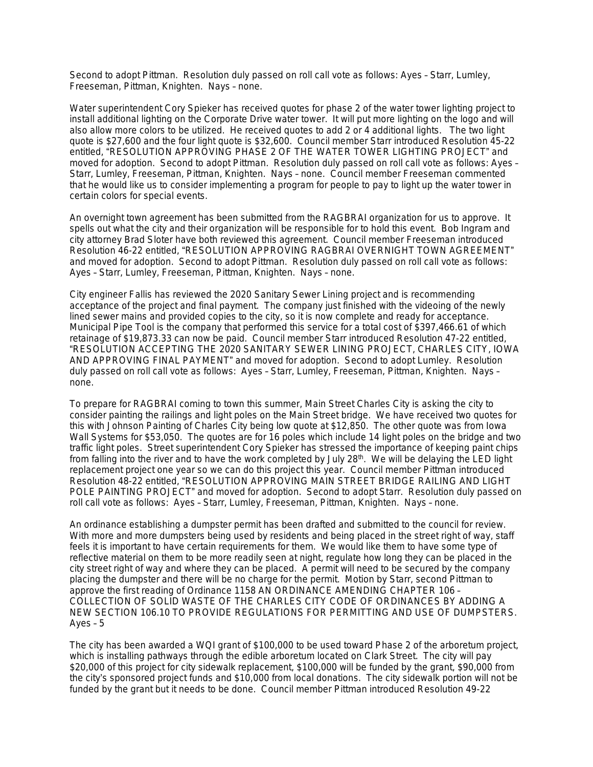Second to adopt Pittman. Resolution duly passed on roll call vote as follows: Ayes – Starr, Lumley, Freeseman, Pittman, Knighten. Nays – none.

Water superintendent Cory Spieker has received quotes for phase 2 of the water tower lighting project to install additional lighting on the Corporate Drive water tower. It will put more lighting on the logo and will also allow more colors to be utilized. He received quotes to add 2 or 4 additional lights. The two light quote is \$27,600 and the four light quote is \$32,600. Council member Starr introduced Resolution 45-22 entitled, "RESOLUTION APPROVING PHASE 2 OF THE WATER TOWER LIGHTING PROJECT" and moved for adoption. Second to adopt Pittman. Resolution duly passed on roll call vote as follows: Ayes – Starr, Lumley, Freeseman, Pittman, Knighten. Nays – none. Council member Freeseman commented that he would like us to consider implementing a program for people to pay to light up the water tower in certain colors for special events.

An overnight town agreement has been submitted from the RAGBRAI organization for us to approve. It spells out what the city and their organization will be responsible for to hold this event. Bob Ingram and city attorney Brad Sloter have both reviewed this agreement. Council member Freeseman introduced Resolution 46-22 entitled, "RESOLUTION APPROVING RAGBRAI OVERNIGHT TOWN AGREEMENT" and moved for adoption. Second to adopt Pittman. Resolution duly passed on roll call vote as follows: Ayes – Starr, Lumley, Freeseman, Pittman, Knighten. Nays – none.

City engineer Fallis has reviewed the 2020 Sanitary Sewer Lining project and is recommending acceptance of the project and final payment. The company just finished with the videoing of the newly lined sewer mains and provided copies to the city, so it is now complete and ready for acceptance. Municipal Pipe Tool is the company that performed this service for a total cost of \$397,466.61 of which retainage of \$19,873.33 can now be paid. Council member Starr introduced Resolution 47-22 entitled, "RESOLUTION ACCEPTING THE 2020 SANITARY SEWER LINING PROJECT, CHARLES CITY, IOWA AND APPROVING FINAL PAYMENT" and moved for adoption. Second to adopt Lumley. Resolution duly passed on roll call vote as follows: Ayes – Starr, Lumley, Freeseman, Pittman, Knighten. Nays – none.

To prepare for RAGBRAI coming to town this summer, Main Street Charles City is asking the city to consider painting the railings and light poles on the Main Street bridge. We have received two quotes for this with Johnson Painting of Charles City being low quote at \$12,850. The other quote was from Iowa Wall Systems for \$53,050. The quotes are for 16 poles which include 14 light poles on the bridge and two traffic light poles. Street superintendent Cory Spieker has stressed the importance of keeping paint chips from falling into the river and to have the work completed by July 28<sup>th</sup>. We will be delaying the LED light replacement project one year so we can do this project this year. Council member Pittman introduced Resolution 48-22 entitled, "RESOLUTION APPROVING MAIN STREET BRIDGE RAILING AND LIGHT POLE PAINTING PROJECT" and moved for adoption. Second to adopt Starr. Resolution duly passed on roll call vote as follows: Ayes – Starr, Lumley, Freeseman, Pittman, Knighten. Nays – none.

An ordinance establishing a dumpster permit has been drafted and submitted to the council for review. With more and more dumpsters being used by residents and being placed in the street right of way, staff feels it is important to have certain requirements for them. We would like them to have some type of reflective material on them to be more readily seen at night, regulate how long they can be placed in the city street right of way and where they can be placed. A permit will need to be secured by the company placing the dumpster and there will be no charge for the permit. Motion by Starr, second Pittman to approve the first reading of Ordinance 1158 AN ORDINANCE AMENDING CHAPTER 106 – COLLECTION OF SOLID WASTE OF THE CHARLES CITY CODE OF ORDINANCES BY ADDING A NEW SECTION 106.10 TO PROVIDE REGULATIONS FOR PERMITTING AND USE OF DUMPSTERS. Ayes – 5

The city has been awarded a WQI grant of \$100,000 to be used toward Phase 2 of the arboretum project, which is installing pathways through the edible arboretum located on Clark Street. The city will pay \$20,000 of this project for city sidewalk replacement, \$100,000 will be funded by the grant, \$90,000 from the city's sponsored project funds and \$10,000 from local donations. The city sidewalk portion will not be funded by the grant but it needs to be done. Council member Pittman introduced Resolution 49-22